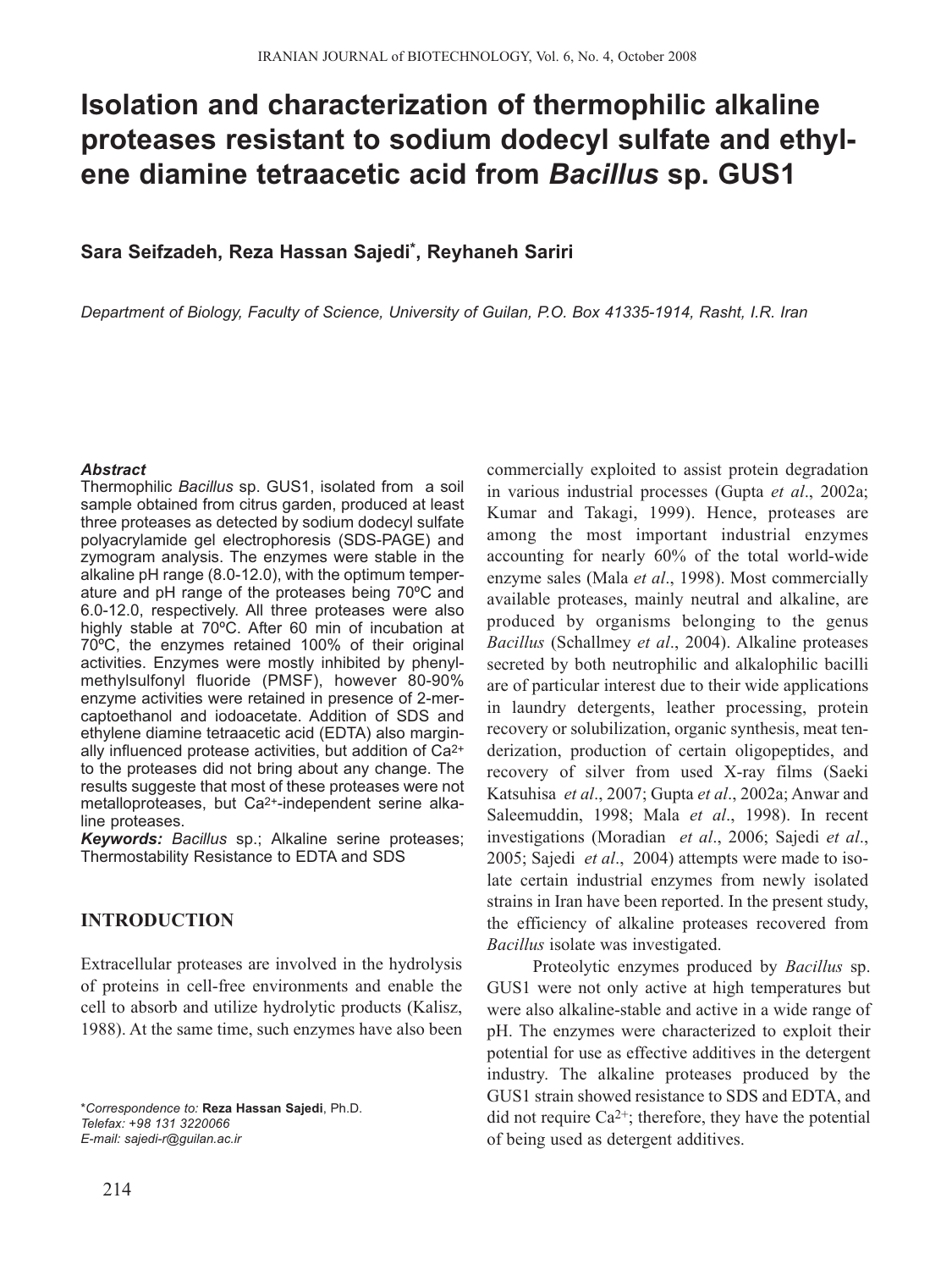# **Isolation and characterization of thermophilic alkaline proteases resistant to sodium dodecyl sulfate and ethylene diamine tetraacetic acid from** *Bacillus* **sp. GUS1**

## **Sara Seifzadeh, Reza Hassan Sajedi\*, Reyhaneh Sariri**

*Department of Biology, Faculty of Science, University of Guilan, P.O. Box 41335-1914, Rasht, I.R. Iran*

#### *Abstract*

Thermophilic *Bacillus* sp. GUS1, isolated from a soil sample obtained from citrus garden, produced at least three proteases as detected by sodium dodecyl sulfate polyacrylamide gel electrophoresis (SDS-PAGE) and zymogram analysis. The enzymes were stable in the alkaline pH range (8.0-12.0), with the optimum temperature and pH range of the proteases being 70ºC and 6.0-12.0, respectively. All three proteases were also highly stable at 70ºC. After 60 min of incubation at 70ºC, the enzymes retained 100% of their original activities. Enzymes were mostly inhibited by phenylmethylsulfonyl fluoride (PMSF), however 80-90% enzyme activities were retained in presence of 2-mercaptoethanol and iodoacetate. Addition of SDS and ethylene diamine tetraacetic acid (EDTA) also marginally influenced protease activities, but addition of Ca2+ to the proteases did not bring about any change. The results suggeste that most of these proteases were not metalloproteases, but Ca2+-independent serine alkaline proteases.

*Keywords: Bacillus* sp.; Alkaline serine proteases; Thermostability Resistance to EDTA and SDS

# **INTRODUCTION**

Extracellular proteases are involved in the hydrolysis of proteins in cell-free environments and enable the cell to absorb and utilize hydrolytic products (Kalisz, 1988). At the same time, such enzymes have also been

*\*Correspondence to:* **Reza Hassan Sajedi**, Ph.D. *Telefax: +98 131 3220066 E-mail: sajedi-r@guilan.ac.ir* 

commercially exploited to assist protein degradation in various industrial processes (Gupta *et al*., 2002a; Kumar and Takagi, 1999). Hence, proteases are among the most important industrial enzymes accounting for nearly 60% of the total world-wide enzyme sales (Mala *et al*., 1998). Most commercially available proteases, mainly neutral and alkaline, are produced by organisms belonging to the genus *Bacillus* (Schallmey *et al*., 2004). Alkaline proteases secreted by both neutrophilic and alkalophilic bacilli are of particular interest due to their wide applications in laundry detergents, leather processing, protein recovery or solubilization, organic synthesis, meat tenderization, production of certain oligopeptides, and recovery of silver from used X-ray films (Saeki Katsuhisa *et al*., 2007; Gupta *et al*., 2002a; Anwar and Saleemuddin, 1998; Mala *et al*., 1998). In recent investigations (Moradian *et al*., 2006; Sajedi *et al*., 2005; Sajedi *et al*., 2004) attempts were made to isolate certain industrial enzymes from newly isolated strains in Iran have been reported. In the present study, the efficiency of alkaline proteases recovered from *Bacillus* isolate was investigated.

Proteolytic enzymes produced by *Bacillus* sp. GUS1 were not only active at high temperatures but were also alkaline-stable and active in a wide range of pH. The enzymes were characterized to exploit their potential for use as effective additives in the detergent industry. The alkaline proteases produced by the GUS1 strain showed resistance to SDS and EDTA, and did not require  $Ca^{2+}$ ; therefore, they have the potential of being used as detergent additives.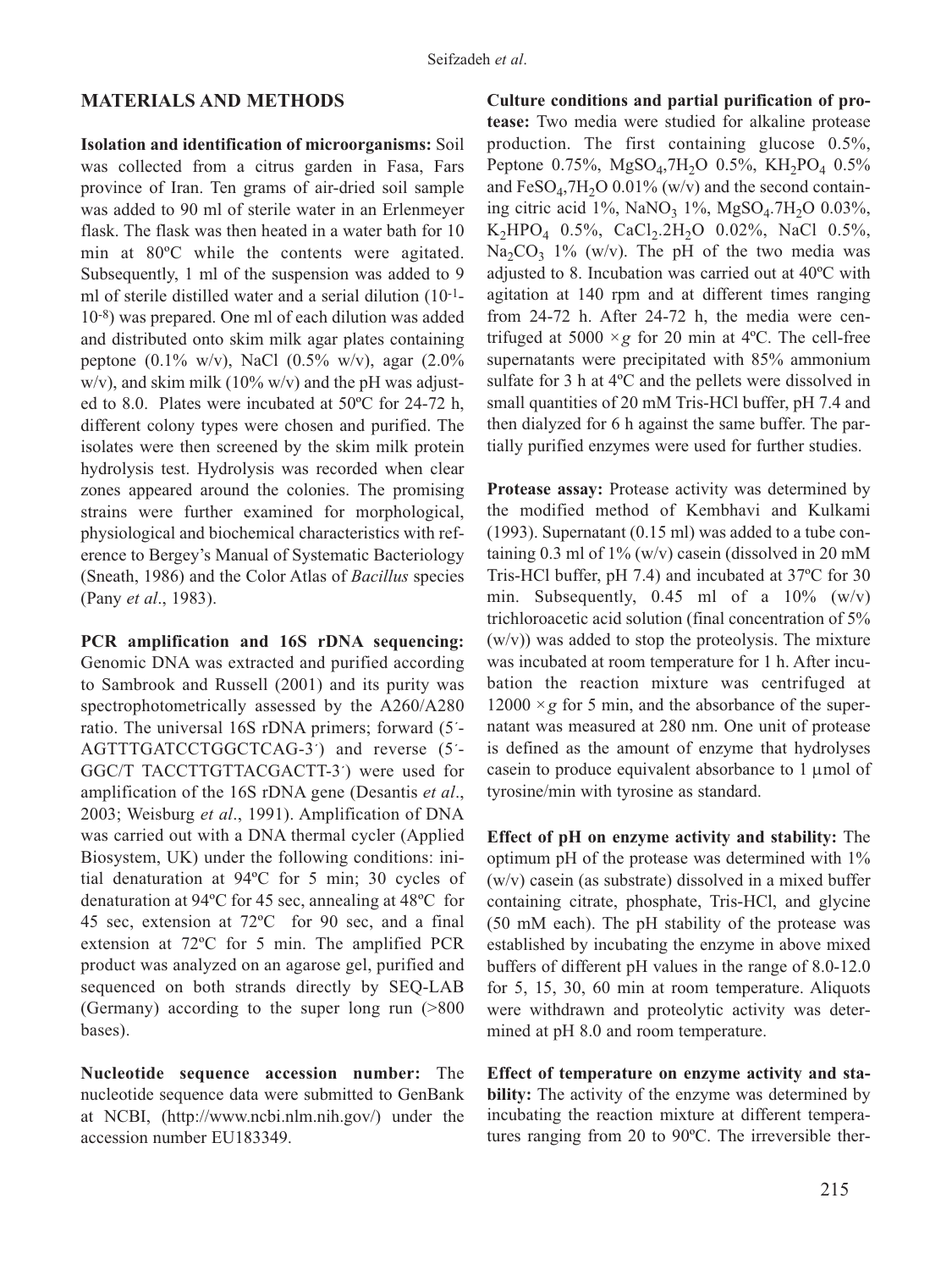## **MATERIALS AND METHODS**

**Isolation and identification of microorganisms:** Soil was collected from a citrus garden in Fasa, Fars province of Iran. Ten grams of air-dried soil sample was added to 90 ml of sterile water in an Erlenmeyer flask. The flask was then heated in a water bath for 10 min at 80ºC while the contents were agitated. Subsequently, 1 ml of the suspension was added to 9 ml of sterile distilled water and a serial dilution (10-1- 10-8) was prepared. One ml of each dilution was added and distributed onto skim milk agar plates containing peptone (0.1% w/v), NaCl (0.5% w/v), agar (2.0% w/v), and skim milk  $(10\% \text{ w/v})$  and the pH was adjusted to 8.0. Plates were incubated at 50ºC for 24-72 h, different colony types were chosen and purified. The isolates were then screened by the skim milk protein hydrolysis test. Hydrolysis was recorded when clear zones appeared around the colonies. The promising strains were further examined for morphological, physiological and biochemical characteristics with reference to Bergey's Manual of Systematic Bacteriology (Sneath, 1986) and the Color Atlas of *Bacillus* species (Pany *et al*., 1983).

**PCR amplification and 16S rDNA sequencing:** Genomic DNA was extracted and purified according to Sambrook and Russell (2001) and its purity was spectrophotometrically assessed by the A260/A280 ratio. The universal 16S rDNA primers; forward (5´- AGTTTGATCCTGGCTCAG-3´) and reverse (5´- GGC/T TACCTTGTTACGACTT-3´) were used for amplification of the 16S rDNA gene (Desantis *et al*., 2003; Weisburg *et al*., 1991). Amplification of DNA was carried out with a DNA thermal cycler (Applied Biosystem, UK) under the following conditions: initial denaturation at 94ºC for 5 min; 30 cycles of denaturation at 94ºC for 45 sec, annealing at 48ºC for 45 sec, extension at 72ºC for 90 sec, and a final extension at 72ºC for 5 min. The amplified PCR product was analyzed on an agarose gel, purified and sequenced on both strands directly by SEQ-LAB (Germany) according to the super long run (>800 bases).

**Nucleotide sequence accession number:** The nucleotide sequence data were submitted to GenBank at NCBI, (http://www.ncbi.nlm.nih.gov/) under the accession number EU183349.

**Culture conditions and partial purification of protease:** Two media were studied for alkaline protease production. The first containing glucose 0.5%, Peptone  $0.75\%$ , MgSO<sub>4</sub>,7H<sub>2</sub>O  $0.5\%$ , KH<sub>2</sub>PO<sub>4</sub>  $0.5\%$ and  $FeSO<sub>4</sub>, 7H<sub>2</sub>O$  0.01% (w/v) and the second containing citric acid 1%, NaNO<sub>3</sub> 1%, MgSO<sub>4</sub>.7H<sub>2</sub>O 0.03%,  $K_2HPO_4$  0.5%, CaCl<sub>2</sub>.2H<sub>2</sub>O 0.02%, NaCl 0.5%, Na<sub>2</sub>CO<sub>3</sub> 1% (w/v). The pH of the two media was adjusted to 8. Incubation was carried out at 40ºC with agitation at 140 rpm and at different times ranging from 24-72 h. After 24-72 h, the media were centrifuged at 5000  $\times g$  for 20 min at 4<sup>o</sup>C. The cell-free supernatants were precipitated with 85% ammonium sulfate for 3 h at 4ºC and the pellets were dissolved in small quantities of 20 mM Tris-HCl buffer, pH 7.4 and then dialyzed for 6 h against the same buffer. The partially purified enzymes were used for further studies.

**Protease assay:** Protease activity was determined by the modified method of Kembhavi and Kulkami (1993). Supernatant (0.15 ml) was added to a tube containing 0.3 ml of  $1\%$  (w/v) casein (dissolved in 20 mM Tris-HCl buffer, pH 7.4) and incubated at 37ºC for 30 min. Subsequently,  $0.45$  ml of a  $10\%$  (w/v) trichloroacetic acid solution (final concentration of 5%  $(w/v)$ ) was added to stop the proteolysis. The mixture was incubated at room temperature for 1 h. After incubation the reaction mixture was centrifuged at  $12000 \times g$  for 5 min, and the absorbance of the supernatant was measured at 280 nm. One unit of protease is defined as the amount of enzyme that hydrolyses casein to produce equivalent absorbance to  $1 \mu$ mol of tyrosine/min with tyrosine as standard.

**Effect of pH on enzyme activity and stability:** The optimum pH of the protease was determined with 1% (w/v) casein (as substrate) dissolved in a mixed buffer containing citrate, phosphate, Tris-HCl, and glycine (50 mM each). The pH stability of the protease was established by incubating the enzyme in above mixed buffers of different pH values in the range of 8.0-12.0 for 5, 15, 30, 60 min at room temperature. Aliquots were withdrawn and proteolytic activity was determined at pH 8.0 and room temperature.

**Effect of temperature on enzyme activity and stability:** The activity of the enzyme was determined by incubating the reaction mixture at different temperatures ranging from 20 to 90ºC. The irreversible ther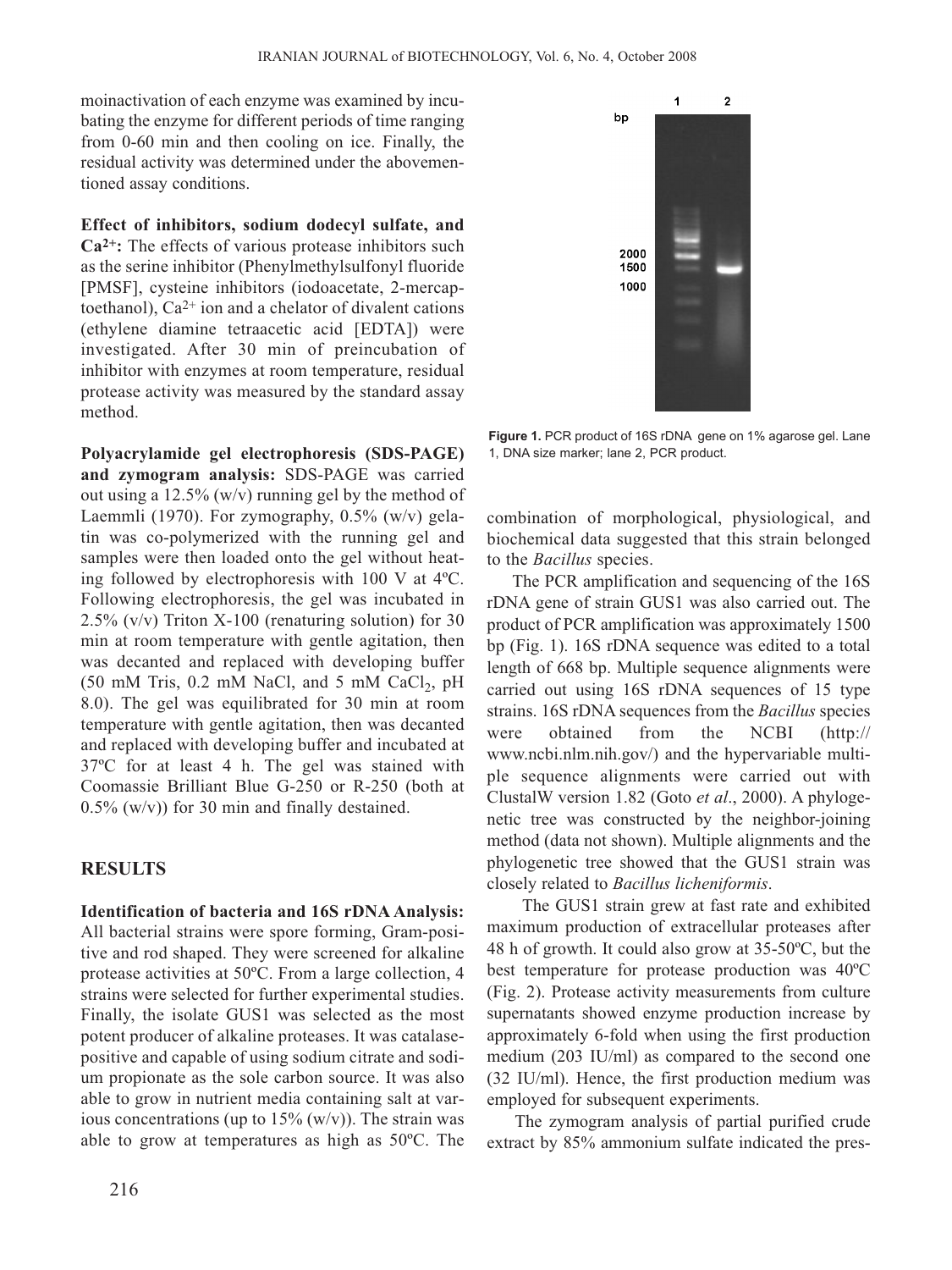moinactivation of each enzyme was examined by incubating the enzyme for different periods of time ranging from 0-60 min and then cooling on ice. Finally, the residual activity was determined under the abovementioned assay conditions.

**Effect of inhibitors, sodium dodecyl sulfate, and Ca2+:** The effects of various protease inhibitors such as the serine inhibitor (Phenylmethylsulfonyl fluoride [PMSF], cysteine inhibitors (iodoacetate, 2-mercaptoethanol),  $Ca^{2+}$  ion and a chelator of divalent cations (ethylene diamine tetraacetic acid [EDTA]) were investigated. After 30 min of preincubation of inhibitor with enzymes at room temperature, residual protease activity was measured by the standard assay method.

**Polyacrylamide gel electrophoresis (SDS-PAGE) and zymogram analysis:** SDS-PAGE was carried out using a  $12.5\%$  (w/v) running gel by the method of Laemmli (1970). For zymography, 0.5% (w/v) gelatin was co-polymerized with the running gel and samples were then loaded onto the gel without heating followed by electrophoresis with 100 V at 4ºC. Following electrophoresis, the gel was incubated in 2.5% (v/v) Triton X-100 (renaturing solution) for 30 min at room temperature with gentle agitation, then was decanted and replaced with developing buffer (50 mM Tris,  $0.2$  mM NaCl, and 5 mM CaCl<sub>2</sub>, pH 8.0). The gel was equilibrated for 30 min at room temperature with gentle agitation, then was decanted and replaced with developing buffer and incubated at 37ºC for at least 4 h. The gel was stained with Coomassie Brilliant Blue G-250 or R-250 (both at  $0.5\%$  (w/v)) for 30 min and finally destained.

### **RESULTS**

**Identification of bacteria and 16S rDNA Analysis:** All bacterial strains were spore forming, Gram-positive and rod shaped. They were screened for alkaline protease activities at 50ºC. From a large collection, 4 strains were selected for further experimental studies. Finally, the isolate GUS1 was selected as the most potent producer of alkaline proteases. It was catalasepositive and capable of using sodium citrate and sodium propionate as the sole carbon source. It was also able to grow in nutrient media containing salt at various concentrations (up to  $15\%$  (w/v)). The strain was able to grow at temperatures as high as 50ºC. The



**Figure 1.** PCR product of 16S rDNA gene on 1% agarose gel. Lane 1, DNA size marker; lane 2, PCR product.

combination of morphological, physiological, and biochemical data suggested that this strain belonged to the *Bacillus* species.

The PCR amplification and sequencing of the 16S rDNA gene of strain GUS1 was also carried out. The product of PCR amplification was approximately 1500 bp (Fig. 1). 16S rDNA sequence was edited to a total length of 668 bp. Multiple sequence alignments were carried out using 16S rDNA sequences of 15 type strains. 16S rDNA sequences from the *Bacillus* species were obtained from the NCBI (http:// www.ncbi.nlm.nih.gov/) and the hypervariable multiple sequence alignments were carried out with ClustalW version 1.82 (Goto *et al*., 2000). A phylogenetic tree was constructed by the neighbor-joining method (data not shown). Multiple alignments and the phylogenetic tree showed that the GUS1 strain was closely related to *Bacillus licheniformis*.

The GUS1 strain grew at fast rate and exhibited maximum production of extracellular proteases after 48 h of growth. It could also grow at 35-50ºC, but the best temperature for protease production was 40ºC (Fig. 2). Protease activity measurements from culture supernatants showed enzyme production increase by approximately 6-fold when using the first production medium (203 IU/ml) as compared to the second one (32 IU/ml). Hence, the first production medium was employed for subsequent experiments.

The zymogram analysis of partial purified crude extract by 85% ammonium sulfate indicated the pres-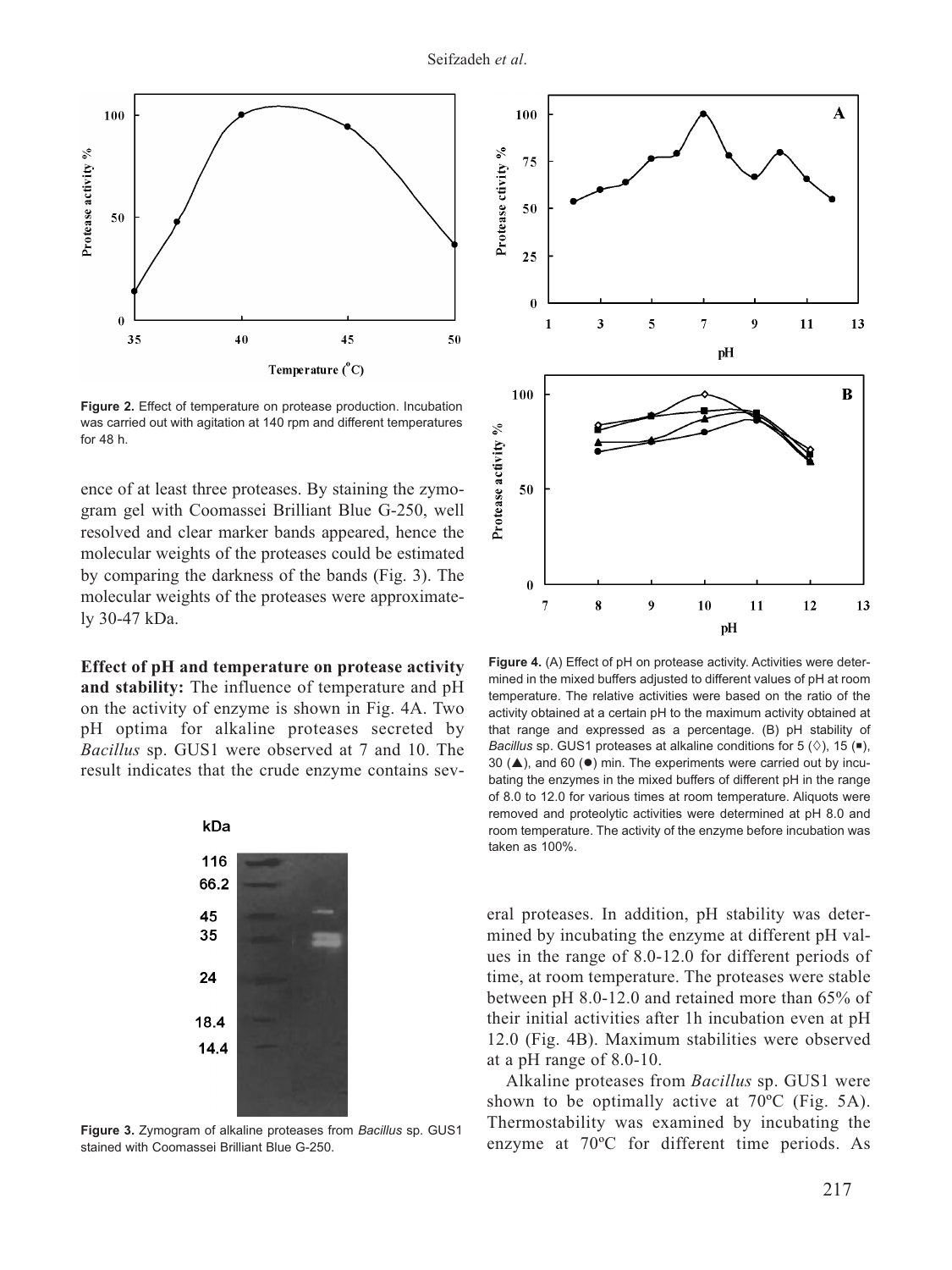

**Figure 2.** Effect of temperature on protease production. Incubation was carried out with agitation at 140 rpm and different temperatures for 48 h.

ence of at least three proteases. By staining the zymogram gel with Coomassei Brilliant Blue G-250, well resolved and clear marker bands appeared, hence the molecular weights of the proteases could be estimated by comparing the darkness of the bands (Fig. 3). The molecular weights of the proteases were approximately 30-47 kDa.

**Effect of pH and temperature on protease activity and stability:** The influence of temperature and pH on the activity of enzyme is shown in Fig. 4A. Two pH optima for alkaline proteases secreted by *Bacillus* sp. GUS1 were observed at 7 and 10. The result indicates that the crude enzyme contains sev-



**Figure 3.** Zymogram of alkaline proteases from *Bacillus* sp. GUS1 stained with Coomassei Brilliant Blue G-250.



Figure 4. (A) Effect of pH on protease activity. Activities were determined in the mixed buffers adjusted to different values of pH at room temperature. The relative activities were based on the ratio of the activity obtained at a certain pH to the maximum activity obtained at that range and expressed as a percentage. (B) pH stability of *Bacillus* sp. GUS1 proteases at alkaline conditions for 5  $(\Diamond)$ , 15 (.), 30 ( $\triangle$ ), and 60 ( $\bullet$ ) min. The experiments were carried out by incubating the enzymes in the mixed buffers of different pH in the range of 8.0 to 12.0 for various times at room temperature. Aliquots were removed and proteolytic activities were determined at pH 8.0 and room temperature. The activity of the enzyme before incubation was taken as 100%.

eral proteases. In addition, pH stability was determined by incubating the enzyme at different pH values in the range of 8.0-12.0 for different periods of time, at room temperature. The proteases were stable between pH 8.0-12.0 and retained more than 65% of their initial activities after 1h incubation even at pH 12.0 (Fig. 4B). Maximum stabilities were observed at a pH range of 8.0-10.

Alkaline proteases from *Bacillus* sp. GUS1 were shown to be optimally active at 70ºC (Fig. 5A). Thermostability was examined by incubating the enzyme at 70ºC for different time periods. As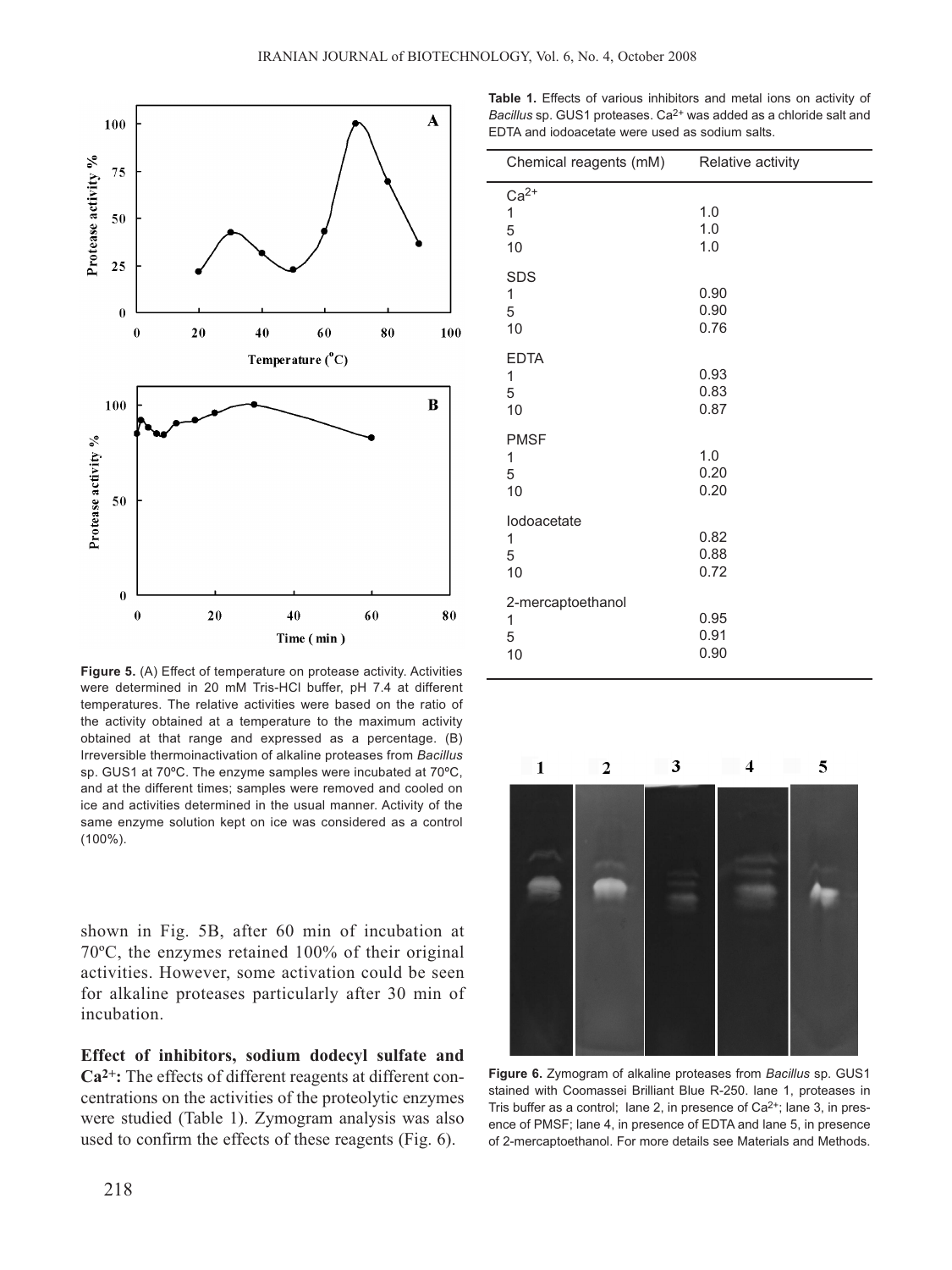

Figure 5. (A) Effect of temperature on protease activity. Activities were determined in 20 mM Tris-HCl buffer, pH 7.4 at different temperatures. The relative activities were based on the ratio of the activity obtained at a temperature to the maximum activity obtained at that range and expressed as a percentage. (B) Irreversible thermoinactivation of alkaline proteases from *Bacillus* sp. GUS1 at 70ºC. The enzyme samples were incubated at 70ºC, and at the different times; samples were removed and cooled on ice and activities determined in the usual manner. Activity of the same enzyme solution kept on ice was considered as a control (100%).

shown in Fig. 5B, after 60 min of incubation at 70ºC, the enzymes retained 100% of their original activities. However, some activation could be seen for alkaline proteases particularly after 30 min of incubation.

**Effect of inhibitors, sodium dodecyl sulfate and Ca2+:** The effects of different reagents at different concentrations on the activities of the proteolytic enzymes were studied (Table 1). Zymogram analysis was also used to confirm the effects of these reagents (Fig. 6).

**Table 1.** Effects of various inhibitors and metal ions on activity of *Bacillus* sp. GUS1 proteases. Ca2+ was added as a chloride salt and EDTA and iodoacetate were used as sodium salts.

| Chemical reagents (mM)            | Relative activity    |
|-----------------------------------|----------------------|
| $Ca2+$<br>1<br>5<br>10            | 1.0<br>1.0<br>1.0    |
| <b>SDS</b><br>1<br>5<br>10        | 0.90<br>0.90<br>0.76 |
| <b>EDTA</b><br>1<br>5<br>10       | 0.93<br>0.83<br>0.87 |
| <b>PMSF</b><br>1<br>5<br>10       | 1.0<br>0.20<br>0.20  |
| lodoacetate<br>1<br>5<br>10       | 0.82<br>0.88<br>0.72 |
| 2-mercaptoethanol<br>1<br>5<br>10 | 0.95<br>0.91<br>0.90 |



**Figure 6.** Zymogram of alkaline proteases from *Bacillus* sp. GUS1 stained with Coomassei Brilliant Blue R-250. lane 1, proteases in Tris buffer as a control; lane 2, in presence of  $Ca<sup>2+</sup>$ ; lane 3, in presence of PMSF; lane 4, in presence of EDTA and lane 5, in presence of 2-mercaptoethanol. For more details see Materials and Methods.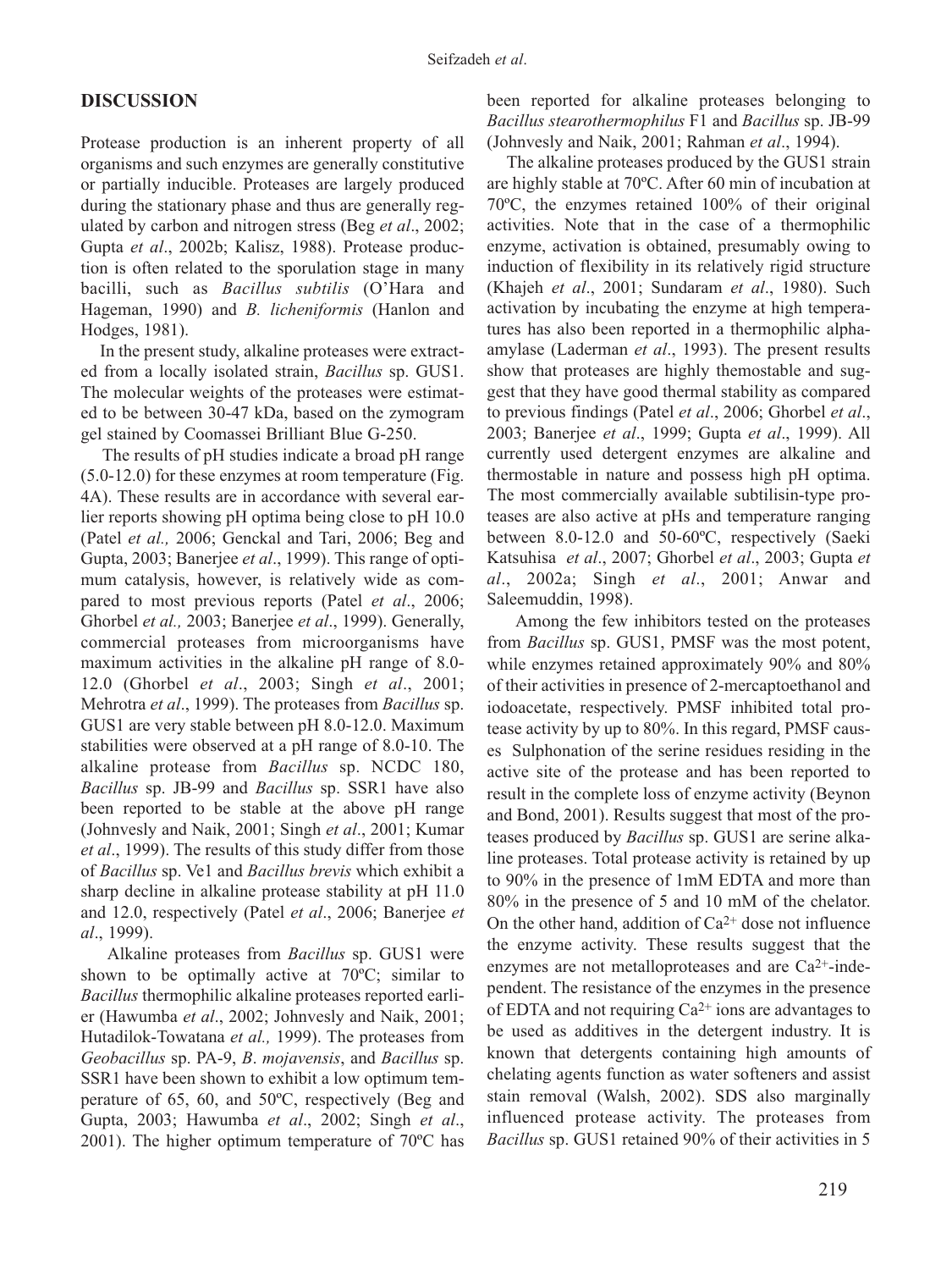## **DISCUSSION**

Protease production is an inherent property of all organisms and such enzymes are generally constitutive or partially inducible. Proteases are largely produced during the stationary phase and thus are generally regulated by carbon and nitrogen stress (Beg *et al*., 2002; Gupta *et al*., 2002b; Kalisz, 1988). Protease production is often related to the sporulation stage in many bacilli, such as *Bacillus subtilis* (O'Hara and Hageman, 1990) and *B. licheniformis* (Hanlon and Hodges, 1981).

In the present study, alkaline proteases were extracted from a locally isolated strain, *Bacillus* sp. GUS1. The molecular weights of the proteases were estimated to be between 30-47 kDa, based on the zymogram gel stained by Coomassei Brilliant Blue G-250.

The results of pH studies indicate a broad pH range (5.0-12.0) for these enzymes at room temperature (Fig. 4A). These results are in accordance with several earlier reports showing pH optima being close to pH 10.0 (Patel *et al.,* 2006; Genckal and Tari, 2006; Beg and Gupta, 2003; Banerjee *et al*., 1999). This range of optimum catalysis, however, is relatively wide as compared to most previous reports (Patel *et al*., 2006; Ghorbel *et al.,* 2003; Banerjee *et al*., 1999). Generally, commercial proteases from microorganisms have maximum activities in the alkaline pH range of 8.0- 12.0 (Ghorbel *et al*., 2003; Singh *et al*., 2001; Mehrotra *et al*., 1999). The proteases from *Bacillus* sp. GUS1 are very stable between pH 8.0-12.0. Maximum stabilities were observed at a pH range of 8.0-10. The alkaline protease from *Bacillus* sp. NCDC 180, *Bacillus* sp. JB-99 and *Bacillus* sp. SSR1 have also been reported to be stable at the above pH range (Johnvesly and Naik, 2001; Singh *et al*., 2001; Kumar *et al*., 1999). The results of this study differ from those of *Bacillus* sp. Ve1 and *Bacillus brevis* which exhibit a sharp decline in alkaline protease stability at pH 11.0 and 12.0, respectively (Patel *et al*., 2006; Banerjee *et al*., 1999).

Alkaline proteases from *Bacillus* sp. GUS1 were shown to be optimally active at 70ºC; similar to *Bacillus* thermophilic alkaline proteases reported earlier (Hawumba *et al*., 2002; Johnvesly and Naik, 2001; Hutadilok-Towatana *et al.,* 1999). The proteases from *Geobacillus* sp. PA-9, *B*. *mojavensis*, and *Bacillus* sp. SSR1 have been shown to exhibit a low optimum temperature of 65, 60, and 50ºC, respectively (Beg and Gupta, 2003; Hawumba *et al*., 2002; Singh *et al*., 2001). The higher optimum temperature of 70ºC has been reported for alkaline proteases belonging to *Bacillus stearothermophilus* F1 and *Bacillus* sp. JB-99 (Johnvesly and Naik, 2001; Rahman *et al*., 1994).

The alkaline proteases produced by the GUS1 strain are highly stable at 70ºC. After 60 min of incubation at 70ºC, the enzymes retained 100% of their original activities. Note that in the case of a thermophilic enzyme, activation is obtained, presumably owing to induction of flexibility in its relatively rigid structure (Khajeh *et al*., 2001; Sundaram *et al*., 1980). Such activation by incubating the enzyme at high temperatures has also been reported in a thermophilic alphaamylase (Laderman *et al*., 1993). The present results show that proteases are highly themostable and suggest that they have good thermal stability as compared to previous findings (Patel *et al*., 2006; Ghorbel *et al*., 2003; Banerjee *et al*., 1999; Gupta *et al*., 1999). All currently used detergent enzymes are alkaline and thermostable in nature and possess high pH optima. The most commercially available subtilisin-type proteases are also active at pHs and temperature ranging between 8.0-12.0 and 50-60ºC, respectively (Saeki Katsuhisa *et al*., 2007; Ghorbel *et al*., 2003; Gupta *et al*., 2002a; Singh *et al*., 2001; Anwar and Saleemuddin, 1998).

Among the few inhibitors tested on the proteases from *Bacillus* sp. GUS1, PMSF was the most potent, while enzymes retained approximately 90% and 80% of their activities in presence of 2-mercaptoethanol and iodoacetate, respectively. PMSF inhibited total protease activity by up to 80%. In this regard, PMSF causes Sulphonation of the serine residues residing in the active site of the protease and has been reported to result in the complete loss of enzyme activity (Beynon and Bond, 2001). Results suggest that most of the proteases produced by *Bacillus* sp. GUS1 are serine alkaline proteases. Total protease activity is retained by up to 90% in the presence of 1mM EDTA and more than 80% in the presence of 5 and 10 mM of the chelator. On the other hand, addition of  $Ca^{2+}$  dose not influence the enzyme activity. These results suggest that the enzymes are not metalloproteases and are Ca2+-independent. The resistance of the enzymes in the presence of EDTA and not requiring  $Ca^{2+}$  ions are advantages to be used as additives in the detergent industry. It is known that detergents containing high amounts of chelating agents function as water softeners and assist stain removal (Walsh, 2002). SDS also marginally influenced protease activity. The proteases from *Bacillus* sp. GUS1 retained 90% of their activities in 5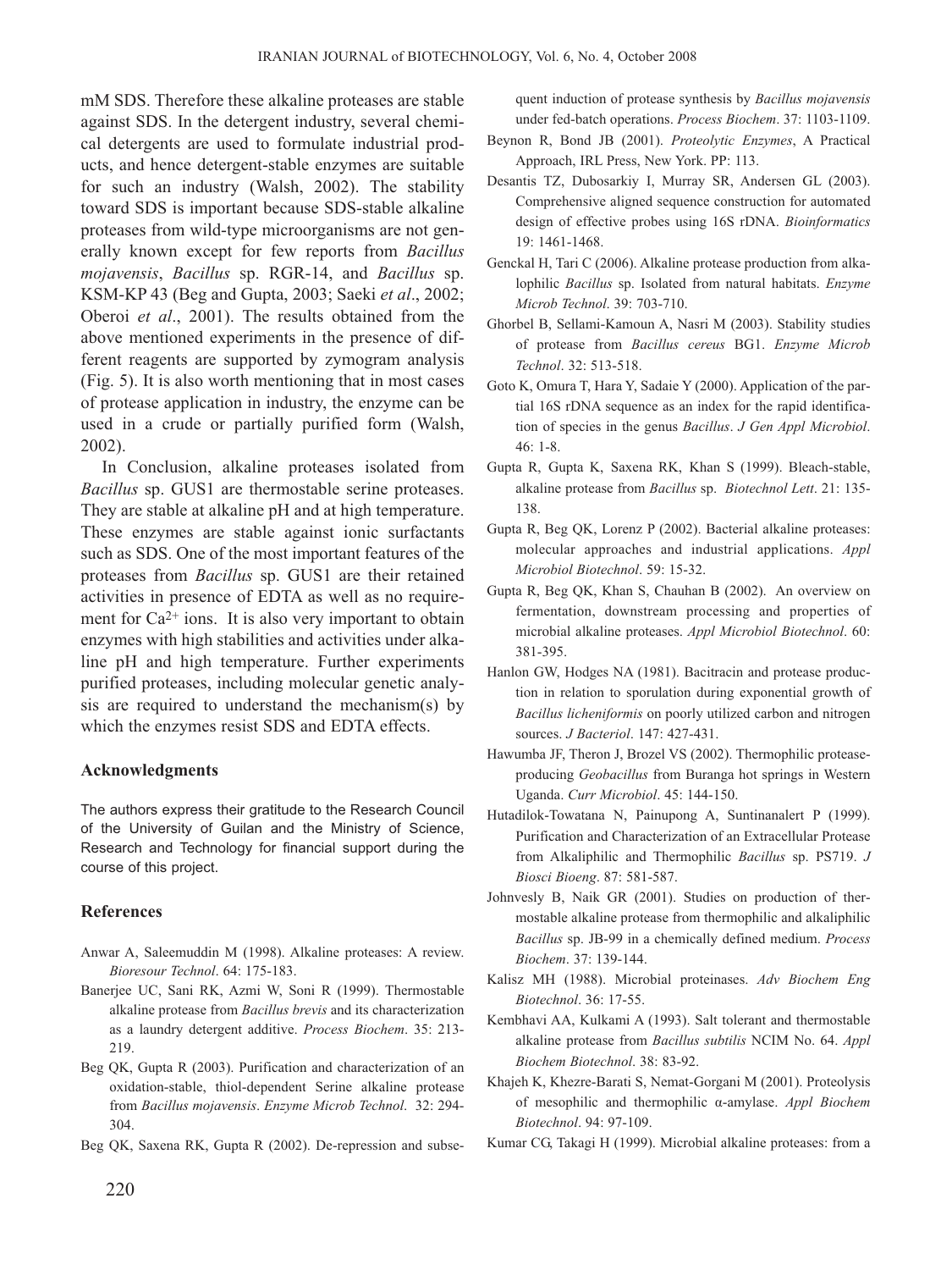mM SDS. Therefore these alkaline proteases are stable against SDS. In the detergent industry, several chemical detergents are used to formulate industrial products, and hence detergent-stable enzymes are suitable for such an industry (Walsh, 2002). The stability toward SDS is important because SDS-stable alkaline proteases from wild-type microorganisms are not generally known except for few reports from *Bacillus mojavensis*, *Bacillus* sp. RGR-14, and *Bacillus* sp. KSM-KP 43 (Beg and Gupta, 2003; Saeki *et al*., 2002; Oberoi *et al*., 2001). The results obtained from the above mentioned experiments in the presence of different reagents are supported by zymogram analysis (Fig. 5). It is also worth mentioning that in most cases of protease application in industry, the enzyme can be used in a crude or partially purified form (Walsh, 2002).

In Conclusion, alkaline proteases isolated from *Bacillus* sp. GUS1 are thermostable serine proteases. They are stable at alkaline pH and at high temperature. These enzymes are stable against ionic surfactants such as SDS. One of the most important features of the proteases from *Bacillus* sp. GUS1 are their retained activities in presence of EDTA as well as no requirement for  $Ca^{2+}$  ions. It is also very important to obtain enzymes with high stabilities and activities under alkaline pH and high temperature. Further experiments purified proteases, including molecular genetic analysis are required to understand the mechanism(s) by which the enzymes resist SDS and EDTA effects.

#### **Acknowledgments**

The authors express their gratitude to the Research Council of the University of Guilan and the Ministry of Science, Research and Technology for financial support during the course of this project.

#### **References**

- Anwar A, Saleemuddin M (1998). Alkaline proteases: A review. *Bioresour Technol*. 64: 175-183.
- Banerjee UC, Sani RK, Azmi W, Soni R (1999). Thermostable alkaline protease from *Bacillus brevis* and its characterization as a laundry detergent additive. *Process Biochem*. 35: 213- 219.
- Beg QK, Gupta R (2003). Purification and characterization of an oxidation-stable, thiol-dependent Serine alkaline protease from *Bacillus mojavensis*. *Enzyme Microb Technol*. 32: 294- 304.
- Beg QK, Saxena RK, Gupta R (2002). De-repression and subse-

quent induction of protease synthesis by *Bacillus mojavensis* under fed-batch operations. *Process Biochem*. 37: 1103-1109.

- Beynon R, Bond JB (2001). *Proteolytic Enzymes*, A Practical Approach, IRL Press, New York. PP: 113.
- Desantis TZ, Dubosarkiy I, Murray SR, Andersen GL (2003). Comprehensive aligned sequence construction for automated design of effective probes using 16S rDNA. *Bioinformatics* 19: 1461-1468.
- Genckal H, Tari C (2006). Alkaline protease production from alkalophilic *Bacillus* sp. Isolated from natural habitats. *Enzyme Microb Technol*. 39: 703-710.
- Ghorbel B, Sellami-Kamoun A, Nasri M (2003). Stability studies of protease from *Bacillus cereus* BG1. *Enzyme Microb Technol*. 32: 513-518.
- Goto K, Omura T, Hara Y, Sadaie Y (2000). Application of the partial 16S rDNA sequence as an index for the rapid identification of species in the genus *Bacillus*. *J Gen Appl Microbiol*. 46: 1-8.
- Gupta R, Gupta K, Saxena RK, Khan S (1999). Bleach-stable, alkaline protease from *Bacillus* sp. *Biotechnol Lett*. 21: 135- 138.
- Gupta R, Beg QK, Lorenz P (2002). Bacterial alkaline proteases: molecular approaches and industrial applications. *Appl Microbiol Biotechnol*. 59: 15-32.
- Gupta R, Beg QK, Khan S, Chauhan B (2002). An overview on fermentation, downstream processing and properties of microbial alkaline proteases. *Appl Microbiol Biotechnol*. 60: 381-395.
- Hanlon GW, Hodges NA (1981). Bacitracin and protease production in relation to sporulation during exponential growth of *Bacillus licheniformis* on poorly utilized carbon and nitrogen sources. *J Bacteriol*. 147: 427-431.
- Hawumba JF, Theron J, Brozel VS (2002). Thermophilic proteaseproducing *Geobacillus* from Buranga hot springs in Western Uganda. *Curr Microbiol*. 45: 144-150.
- Hutadilok-Towatana N, Painupong A, Suntinanalert P (1999). Purification and Characterization of an Extracellular Protease from Alkaliphilic and Thermophilic *Bacillus* sp. PS719. *J Biosci Bioeng*. 87: 581-587.
- Johnvesly B, Naik GR (2001). Studies on production of thermostable alkaline protease from thermophilic and alkaliphilic *Bacillus* sp. JB-99 in a chemically defined medium. *Process Biochem*. 37: 139-144.
- Kalisz MH (1988). Microbial proteinases. *Adv Biochem Eng Biotechnol*. 36: 17-55.
- Kembhavi AA, Kulkami A (1993). Salt tolerant and thermostable alkaline protease from *Bacillus subtilis* NCIM No. 64. *Appl Biochem Biotechnol*. 38: 83-92.
- Khajeh K, Khezre-Barati S, Nemat-Gorgani M (2001). Proteolysis of mesophilic and thermophilic α-amylase. *Appl Biochem Biotechnol*. 94: 97-109.
- Kumar CG, Takagi H (1999). Microbial alkaline proteases: from a